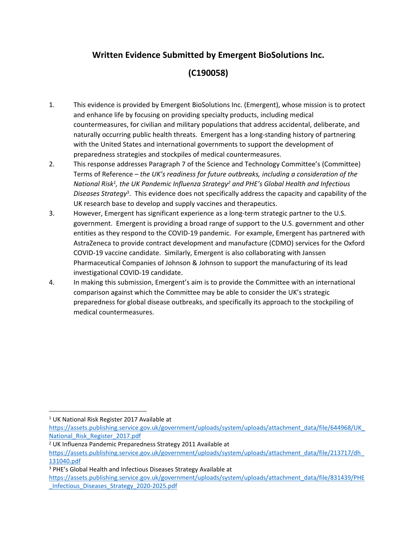## **Written Evidence Submitted by Emergent BioSolutions Inc.**

## **(C190058)**

- 1. This evidence is provided by Emergent BioSolutions Inc. (Emergent), whose mission is to protect and enhance life by focusing on providing specialty products, including medical countermeasures, for civilian and military populations that address accidental, deliberate, and naturally occurring public health threats. Emergent has a long-standing history of partnering with the United States and international governments to support the development of preparedness strategies and stockpiles of medical countermeasures.
- 2. This response addresses Paragraph 7 of the Science and Technology Committee's (Committee) Terms of Reference – *the UK's readiness for future outbreaks, including a consideration of the National Risk<sup>1</sup> , the UK Pandemic Influenza Strategy<sup>2</sup> and PHE's Global Health and Infectious Diseases Strategy*<sup>3</sup> . This evidence does not specifically address the capacity and capability of the UK research base to develop and supply vaccines and therapeutics.
- 3. However, Emergent has significant experience as a long-term strategic partner to the U.S. government. Emergent is providing a broad range of support to the U.S. government and other entities as they respond to the COVID-19 pandemic. For example, Emergent has partnered with AstraZeneca to provide contract development and manufacture (CDMO) services for the Oxford COVID-19 vaccine candidate. Similarly, Emergent is also collaborating with Janssen Pharmaceutical Companies of Johnson & Johnson to support the manufacturing of its lead investigational COVID-19 candidate.
- 4. In making this submission, Emergent's aim is to provide the Committee with an international comparison against which the Committee may be able to consider the UK's strategic preparedness for global disease outbreaks, and specifically its approach to the stockpiling of medical countermeasures.

<sup>1</sup> UK National Risk Register 2017 Available at

[https://assets.publishing.service.gov.uk/government/uploads/system/uploads/attachment\\_data/file/644968/UK\\_](https://assets.publishing.service.gov.uk/government/uploads/system/uploads/attachment_data/file/644968/UK_National_Risk_Register_2017.pdf) [National\\_Risk\\_Register\\_2017.pdf](https://assets.publishing.service.gov.uk/government/uploads/system/uploads/attachment_data/file/644968/UK_National_Risk_Register_2017.pdf)

<sup>2</sup> UK Influenza Pandemic Preparedness Strategy 2011 Available at

[https://assets.publishing.service.gov.uk/government/uploads/system/uploads/attachment\\_data/file/213717/dh\\_](https://assets.publishing.service.gov.uk/government/uploads/system/uploads/attachment_data/file/213717/dh_131040.pdf) [131040.pdf](https://assets.publishing.service.gov.uk/government/uploads/system/uploads/attachment_data/file/213717/dh_131040.pdf)

<sup>3</sup> PHE's Global Health and Infectious Diseases Strategy Available at

[https://assets.publishing.service.gov.uk/government/uploads/system/uploads/attachment\\_data/file/831439/PHE](https://assets.publishing.service.gov.uk/government/uploads/system/uploads/attachment_data/file/831439/PHE_Infectious_Diseases_Strategy_2020-2025.pdf) [\\_Infectious\\_Diseases\\_Strategy\\_2020-2025.pdf](https://assets.publishing.service.gov.uk/government/uploads/system/uploads/attachment_data/file/831439/PHE_Infectious_Diseases_Strategy_2020-2025.pdf)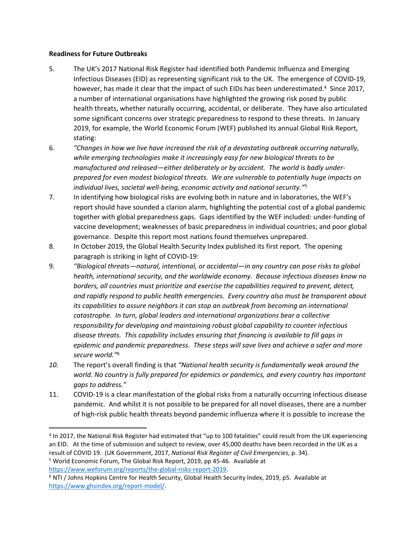## **Readiness for Future Outbreaks**

- 5. The UK's 2017 National Risk Register had identified both Pandemic Influenza and Emerging Infectious Diseases (EID) as representing significant risk to the UK. The emergence of COVID-19, however, has made it clear that the impact of such EIDs has been underestimated.<sup>4</sup> Since 2017, a number of international organisations have highlighted the growing risk posed by public health threats, whether naturally occurring, accidental, or deliberate. They have also articulated some significant concerns over strategic preparedness to respond to these threats. In January 2019, for example, the World Economic Forum (WEF) published its annual Global Risk Report, stating:
- 6. *"Changes in how we live have increased the risk of a devastating outbreak occurring naturally, while emerging technologies make it increasingly easy for new biological threats to be manufactured and released—either deliberately or by accident. The world is badly underprepared for even modest biological threats. We are vulnerable to potentially huge impacts on individual lives, societal well-being, economic activity and national security."*<sup>5</sup>
- 7. In identifying how biological risks are evolving both in nature and in laboratories, the WEF's report should have sounded a clarion alarm, highlighting the potential cost of a global pandemic together with global preparedness gaps. Gaps identified by the WEF included: under-funding of vaccine development; weaknesses of basic preparedness in individual countries; and poor global governance. Despite this report most nations found themselves unprepared.
- 8. In October 2019, the Global Health Security Index published its first report. The opening paragraph is striking in light of COVID-19:
- 9. *"Biological threats—natural, intentional, or accidental—in any country can pose risks to global health, international security, and the worldwide economy. Because infectious diseases know no borders, all countries must prioritize and exercise the capabilities required to prevent, detect, and rapidly respond to public health emergencies. Every country also must be transparent about its capabilities to assure neighbors it can stop an outbreak from becoming an international catastrophe. In turn, global leaders and international organizations bear a collective responsibility for developing and maintaining robust global capability to counter infectious disease threats. This capability includes ensuring that financing is available to fill gaps in epidemic and pandemic preparedness. These steps will save lives and achieve a safer and more secure world."*<sup>6</sup>
- *10.* The report's overall finding is that *"National health security is fundamentally weak around the world. No country is fully prepared for epidemics or pandemics, and every country has important gaps to address."*
- 11. COVID-19 is a clear manifestation of the global risks from a naturally occurring infectious disease pandemic. And whilst it is not possible to be prepared for all novel diseases, there are a number of high-risk public health threats beyond pandemic influenza where it is possible to increase the

[https://www.weforum.org/reports/the-global-risks-report-2019.](https://www.weforum.org/reports/the-global-risks-report-2019)

<sup>&</sup>lt;sup>4</sup> In 2017, the National Risk Register had estimated that "up to 100 fatalities" could result from the UK experiencing an EID. At the time of submission and subject to review, over 45,000 deaths have been recorded in the UK as a result of COVID 19. (UK Government, 2017, *National Risk Register of Civil Emergencies*, p. 34). <sup>5</sup> World Economic Forum, The Global Risk Report, 2019, pp 45-46. Available at

<sup>6</sup> NTI / Johns Hopkins Centre for Health Security, Global Health Security Index, 2019, p5. Available at [https://www.ghsindex.org/report-model/.](https://www.ghsindex.org/report-model/)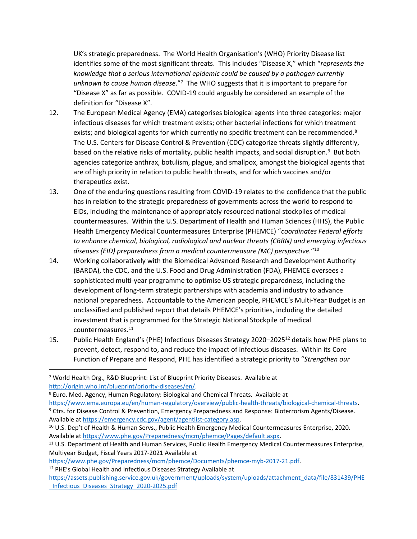UK's strategic preparedness. The World Health Organisation's (WHO) Priority Disease list identifies some of the most significant threats. This includes "Disease X," which "*represents the knowledge that a serious international epidemic could be caused by a pathogen currently unknown to cause human disease*."<sup>7</sup> The WHO suggests that it is important to prepare for "Disease X" as far as possible. COVID-19 could arguably be considered an example of the definition for "Disease X".

- 12. The European Medical Agency (EMA) categorises biological agents into three categories: major infectious diseases for which treatment exists; other bacterial infections for which treatment exists; and biological agents for which currently no specific treatment can be recommended.<sup>8</sup> The U.S. Centers for Disease Control & Prevention (CDC) categorize threats slightly differently, based on the relative risks of mortality, public health impacts, and social disruption.<sup>9</sup> But both agencies categorize anthrax, botulism, plague, and smallpox, amongst the biological agents that are of high priority in relation to public health threats, and for which vaccines and/or therapeutics exist.
- 13. One of the enduring questions resulting from COVID-19 relates to the confidence that the public has in relation to the strategic preparedness of governments across the world to respond to EIDs, including the maintenance of appropriately resourced national stockpiles of medical countermeasures. Within the U.S. Department of Health and Human Sciences (HHS), the Public Health Emergency Medical Countermeasures Enterprise (PHEMCE) "*coordinates Federal efforts to enhance chemical, biological, radiological and nuclear threats (CBRN) and emerging infectious diseases (EID) preparedness from a medical countermeasure (MC) perspective.*" 10
- 14. Working collaboratively with the Biomedical Advanced Research and Development Authority (BARDA), the CDC, and the U.S. Food and Drug Administration (FDA), PHEMCE oversees a sophisticated multi-year programme to optimise US strategic preparedness, including the development of long-term strategic partnerships with academia and industry to advance national preparedness. Accountable to the American people, PHEMCE's Multi-Year Budget is an unclassified and published report that details PHEMCE's priorities, including the detailed investment that is programmed for the Strategic National Stockpile of medical countermeasures.<sup>11</sup>
- 15. Public Health England's (PHE) Infectious Diseases Strategy 2020–2025<sup>12</sup> details how PHE plans to prevent, detect, respond to, and reduce the impact of infectious diseases. Within its Core Function of Prepare and Respond, PHE has identified a strategic priority to "*Strengthen our*

[https://www.ema.europa.eu/en/human-regulatory/overview/public-health-threats/biological-chemical-threats.](https://www.ema.europa.eu/en/human-regulatory/overview/public-health-threats/biological-chemical-threats)

<sup>7</sup> World Health Org., R&D Blueprint: List of Blueprint Priority Diseases. Available at [http://origin.who.int/blueprint/priority-diseases/en/.](http://origin.who.int/blueprint/priority-diseases/en/)

<sup>8</sup> Euro. Med. Agency, Human Regulatory: Biological and Chemical Threats. Available at

<sup>9</sup> Ctrs. for Disease Control & Prevention, Emergency Preparedness and Response: Bioterrorism Agents/Disease. Available at [https://emergency.cdc.gov/agent/agentlist-category.asp.](https://emergency.cdc.gov/agent/agentlist-category.asp)

<sup>10</sup> U.S. Dep't of Health & Human Servs., Public Health Emergency Medical Countermeasures Enterprise, 2020. Available at [https://www.phe.gov/Preparedness/mcm/phemce/Pages/default.aspx.](https://www.phe.gov/Preparedness/mcm/phemce/Pages/default.aspx)

<sup>11</sup> U.S. Department of Health and Human Services, Public Health Emergency Medical Countermeasures Enterprise, Multiyear Budget, Fiscal Years 2017-2021 Available at

[https://www.phe.gov/Preparedness/mcm/phemce/Documents/phemce-myb-2017-21.pdf.](https://www.phe.gov/Preparedness/mcm/phemce/Documents/phemce-myb-2017-21.pdf) <sup>12</sup> PHE's Global Health and Infectious Diseases Strategy Available at

[https://assets.publishing.service.gov.uk/government/uploads/system/uploads/attachment\\_data/file/831439/PHE](https://assets.publishing.service.gov.uk/government/uploads/system/uploads/attachment_data/file/831439/PHE_Infectious_Diseases_Strategy_2020-2025.pdf) [\\_Infectious\\_Diseases\\_Strategy\\_2020-2025.pdf](https://assets.publishing.service.gov.uk/government/uploads/system/uploads/attachment_data/file/831439/PHE_Infectious_Diseases_Strategy_2020-2025.pdf)